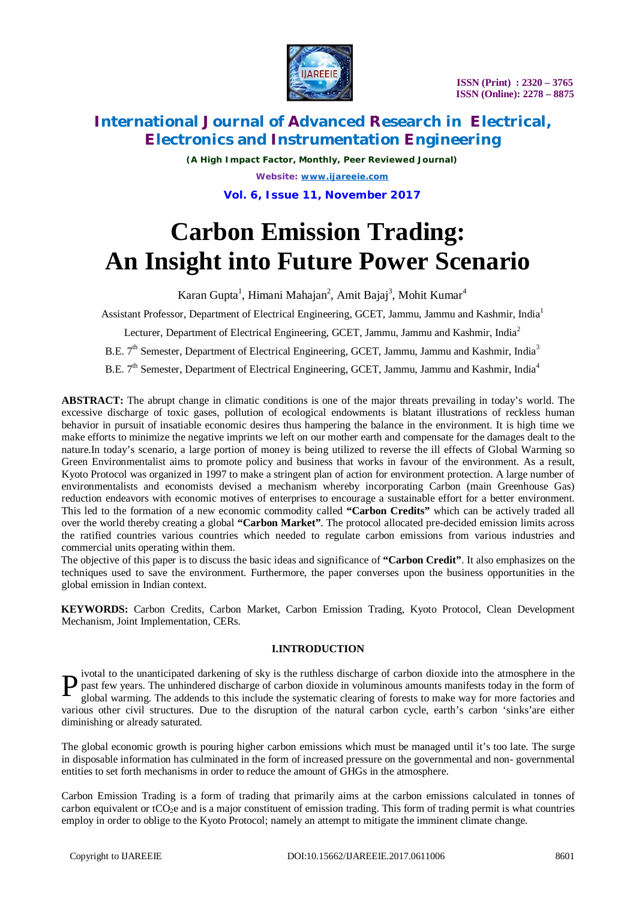

*(A High Impact Factor, Monthly, Peer Reviewed Journal) Website: [www.ijareeie.com](http://www.ijareeie.com)* **Vol. 6, Issue 11, November 2017**

# **Carbon Emission Trading: An Insight into Future Power Scenario**

Karan Gupta<sup>1</sup>, Himani Mahajan<sup>2</sup>, Amit Bajaj<sup>3</sup>, Mohit Kumar<sup>4</sup>

Assistant Professor, Department of Electrical Engineering, GCET, Jammu, Jammu and Kashmir, India<sup>1</sup>

Lecturer, Department of Electrical Engineering, GCET, Jammu, Jammu and Kashmir, India<sup>2</sup>

B.E.  $7<sup>th</sup>$  Semester, Department of Electrical Engineering, GCET, Jammu, Jammu and Kashmir, India<sup>3</sup>

B.E. 7<sup>th</sup> Semester, Department of Electrical Engineering, GCET, Jammu, Jammu and Kashmir, India<sup>4</sup>

**ABSTRACT:** The abrupt change in climatic conditions is one of the major threats prevailing in today's world. The excessive discharge of toxic gases, pollution of ecological endowments is blatant illustrations of reckless human behavior in pursuit of insatiable economic desires thus hampering the balance in the environment. It is high time we make efforts to minimize the negative imprints we left on our mother earth and compensate for the damages dealt to the nature.In today's scenario, a large portion of money is being utilized to reverse the ill effects of Global Warming so Green Environmentalist aims to promote policy and business that works in favour of the environment. As a result, Kyoto Protocol was organized in 1997 to make a stringent plan of action for environment protection. A large number of environmentalists and economists devised a mechanism whereby incorporating Carbon (main Greenhouse Gas) reduction endeavors with economic motives of enterprises to encourage a sustainable effort for a better environment. This led to the formation of a new economic commodity called **"Carbon Credits"** which can be actively traded all over the world thereby creating a global **"Carbon Market"**. The protocol allocated pre-decided emission limits across the ratified countries various countries which needed to regulate carbon emissions from various industries and commercial units operating within them.

The objective of this paper is to discuss the basic ideas and significance of **"Carbon Credit"**. It also emphasizes on the techniques used to save the environment. Furthermore, the paper converses upon the business opportunities in the global emission in Indian context.

**KEYWORDS:** Carbon Credits, Carbon Market, Carbon Emission Trading, Kyoto Protocol, Clean Development Mechanism, Joint Implementation, CERs.

# **I.INTRODUCTION**

ivotal to the unanticipated darkening of sky is the ruthless discharge of carbon dioxide into the atmosphere in the past few years. The unhindered discharge of carbon dioxide in voluminous amounts manifests today in the form of global warming. The addends to this include the systematic clearing of forests to make way for more factories global warming. The addends to this include the systematic clearing of forests to make way for more factories and various other civil structures. Due to the disruption of the natural carbon cycle, earth's carbon 'sinks'are either diminishing or already saturated.

The global economic growth is pouring higher carbon emissions which must be managed until it's too late. The surge in disposable information has culminated in the form of increased pressure on the governmental and non- governmental entities to set forth mechanisms in order to reduce the amount of GHGs in the atmosphere.

Carbon Emission Trading is a form of trading that primarily aims at the carbon emissions calculated in tonnes of carbon equivalent or  $tCO<sub>2</sub>e$  and is a major constituent of emission trading. This form of trading permit is what countries employ in order to oblige to the Kyoto Protocol; namely an attempt to mitigate the imminent climate change.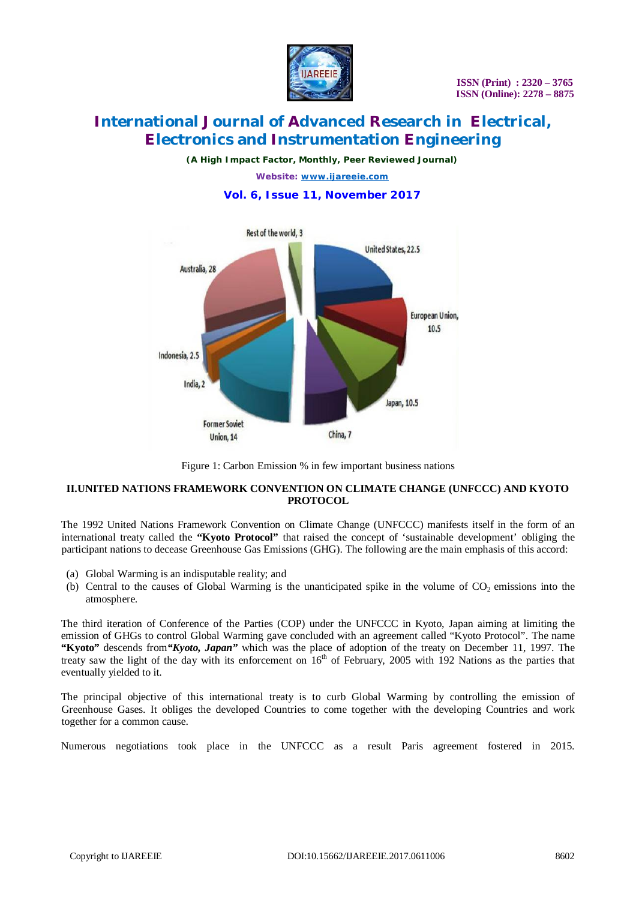

*(A High Impact Factor, Monthly, Peer Reviewed Journal)*

*Website: [www.ijareeie.com](http://www.ijareeie.com)*

# **Vol. 6, Issue 11, November 2017**



Figure 1: Carbon Emission % in few important business nations

### **II.UNITED NATIONS FRAMEWORK CONVENTION ON CLIMATE CHANGE (UNFCCC) AND KYOTO PROTOCOL**

The 1992 United Nations Framework Convention on Climate Change (UNFCCC) manifests itself in the form of an international treaty called the **"Kyoto Protocol"** that raised the concept of 'sustainable development' obliging the participant nations to decease Greenhouse Gas Emissions (GHG). The following are the main emphasis of this accord:

- (a) Global Warming is an indisputable reality; and
- (b) Central to the causes of Global Warming is the unanticipated spike in the volume of  $CO<sub>2</sub>$  emissions into the atmosphere.

The third iteration of Conference of the Parties (COP) under the UNFCCC in Kyoto, Japan aiming at limiting the emission of GHGs to control Global Warming gave concluded with an agreement called "Kyoto Protocol". The name **"Kyoto"** descends from*"Kyoto, Japan"* which was the place of adoption of the treaty on December 11, 1997. The treaty saw the light of the day with its enforcement on 16<sup>th</sup> of February, 2005 with 192 Nations as the parties that eventually yielded to it.

The principal objective of this international treaty is to curb Global Warming by controlling the emission of Greenhouse Gases. It obliges the developed Countries to come together with the developing Countries and work together for a common cause.

Numerous negotiations took place in the UNFCCC as a result Paris agreement fostered in 2015.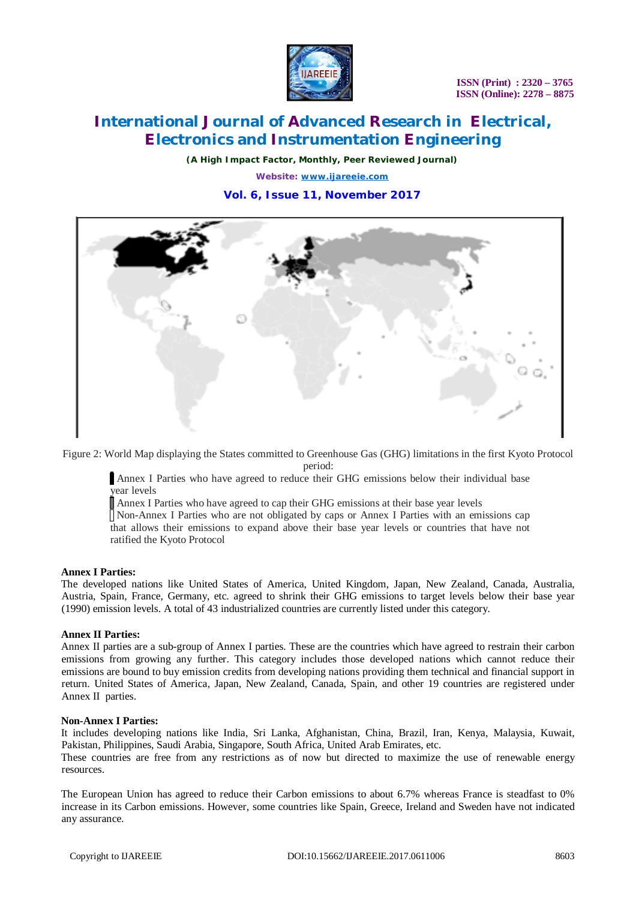

*(A High Impact Factor, Monthly, Peer Reviewed Journal)*

*Website: [www.ijareeie.com](http://www.ijareeie.com)*

# **Vol. 6, Issue 11, November 2017**



Figure 2: World Map displaying the States committed to Greenhouse Gas (GHG) limitations in the first Kyoto Protocol

period:

Annex I Parties who have agreed to reduce their GHG emissions below their individual base year levels

Annex I Parties who have agreed to cap their GHG emissions at their base year levels

Non-Annex I Parties who are not obligated by caps or Annex I Parties with an emissions cap that allows their emissions to expand above their base year levels or countries that have not ratified the Kyoto Protocol

#### **Annex I Parties:**

The developed nations like United States of America, United Kingdom, Japan, New Zealand, Canada, Australia, Austria, Spain, France, Germany, etc. agreed to shrink their GHG emissions to target levels below their base year (1990) emission levels. A total of 43 industrialized countries are currently listed under this category.

#### **Annex II Parties:**

Annex II parties are a sub-group of Annex I parties. These are the countries which have agreed to restrain their carbon emissions from growing any further. This category includes those developed nations which cannot reduce their emissions are bound to buy emission credits from developing nations providing them technical and financial support in return. United States of America, Japan, New Zealand, Canada, Spain, and other 19 countries are registered under Annex II parties.

#### **Non-Annex I Parties:**

It includes developing nations like India, Sri Lanka, Afghanistan, China, Brazil, Iran, Kenya, Malaysia, Kuwait, Pakistan, Philippines, Saudi Arabia, Singapore, South Africa, United Arab Emirates, etc.

These countries are free from any restrictions as of now but directed to maximize the use of renewable energy resources.

The European Union has agreed to reduce their Carbon emissions to about 6.7% whereas France is steadfast to 0% increase in its Carbon emissions. However, some countries like Spain, Greece, Ireland and Sweden have not indicated any assurance.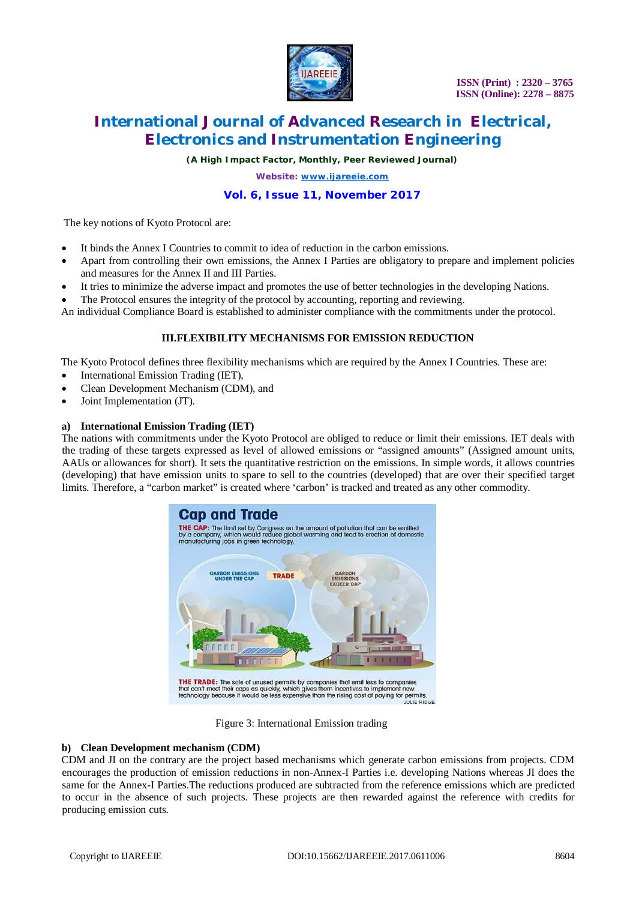

*(A High Impact Factor, Monthly, Peer Reviewed Journal)*

*Website: [www.ijareeie.com](http://www.ijareeie.com)*

# **Vol. 6, Issue 11, November 2017**

The key notions of Kyoto Protocol are:

- It binds the Annex I Countries to commit to idea of reduction in the carbon emissions.
- Apart from controlling their own emissions, the Annex I Parties are obligatory to prepare and implement policies and measures for the Annex II and III Parties.
- It tries to minimize the adverse impact and promotes the use of better technologies in the developing Nations.
- The Protocol ensures the integrity of the protocol by accounting, reporting and reviewing.

An individual Compliance Board is established to administer compliance with the commitments under the protocol.

### **III.FLEXIBILITY MECHANISMS FOR EMISSION REDUCTION**

The Kyoto Protocol defines three flexibility mechanisms which are required by the Annex I Countries. These are:

- International Emission Trading (IET),
- Clean Development Mechanism (CDM), and
- Joint Implementation (JT).

#### **a) International Emission Trading (IET)**

The nations with commitments under the Kyoto Protocol are obliged to reduce or limit their emissions. IET deals with the trading of these targets expressed as level of allowed emissions or "assigned amounts" (Assigned amount units, AAUs or allowances for short). It sets the quantitative restriction on the emissions. In simple words, it allows countries (developing) that have emission units to spare to sell to the countries (developed) that are over their specified target limits. Therefore, a "carbon market" is created where 'carbon' is tracked and treated as any other commodity.



Figure 3: International Emission trading

#### **b) Clean Development mechanism (CDM)**

CDM and JI on the contrary are the project based mechanisms which generate carbon emissions from projects. CDM encourages the production of emission reductions in non-Annex-I Parties i.e. developing Nations whereas JI does the same for the Annex-I Parties.The reductions produced are subtracted from the reference emissions which are predicted to occur in the absence of such projects. These projects are then rewarded against the reference with credits for producing emission cuts.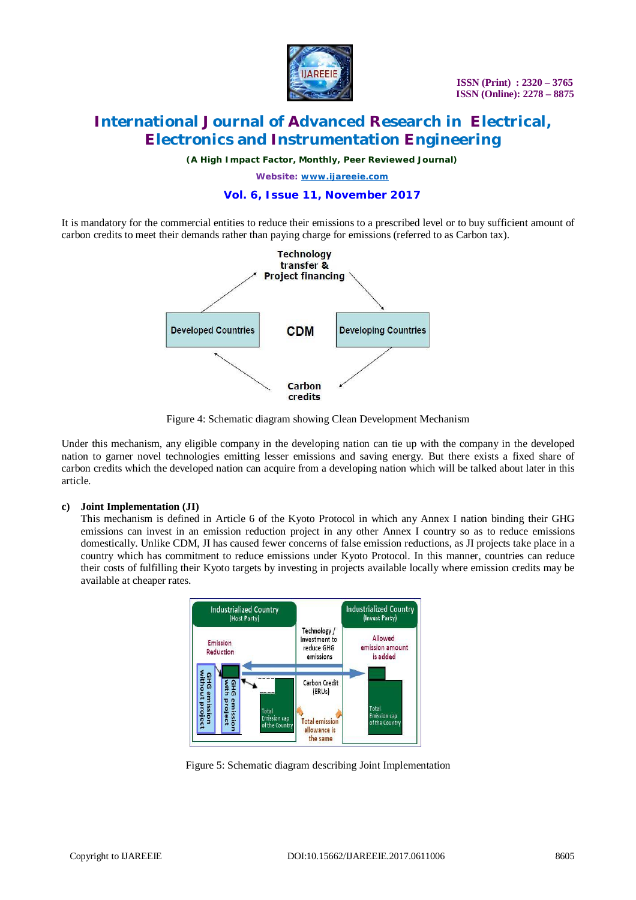

*(A High Impact Factor, Monthly, Peer Reviewed Journal)*

*Website: [www.ijareeie.com](http://www.ijareeie.com)*

# **Vol. 6, Issue 11, November 2017**

It is mandatory for the commercial entities to reduce their emissions to a prescribed level or to buy sufficient amount of carbon credits to meet their demands rather than paying charge for emissions (referred to as Carbon tax).



Figure 4: Schematic diagram showing Clean Development Mechanism

Under this mechanism, any eligible company in the developing nation can tie up with the company in the developed nation to garner novel technologies emitting lesser emissions and saving energy. But there exists a fixed share of carbon credits which the developed nation can acquire from a developing nation which will be talked about later in this article.

# **c) Joint Implementation (JI)**

This mechanism is defined in Article 6 of the Kyoto Protocol in which any Annex I nation binding their GHG emissions can invest in an emission reduction project in any other Annex I country so as to reduce emissions domestically. Unlike CDM, JI has caused fewer concerns of false emission reductions, as JI projects take place in a country which has commitment to reduce emissions under Kyoto Protocol. In this manner, countries can reduce their costs of fulfilling their Kyoto targets by investing in projects available locally where emission credits may be available at cheaper rates.



Figure 5: Schematic diagram describing Joint Implementation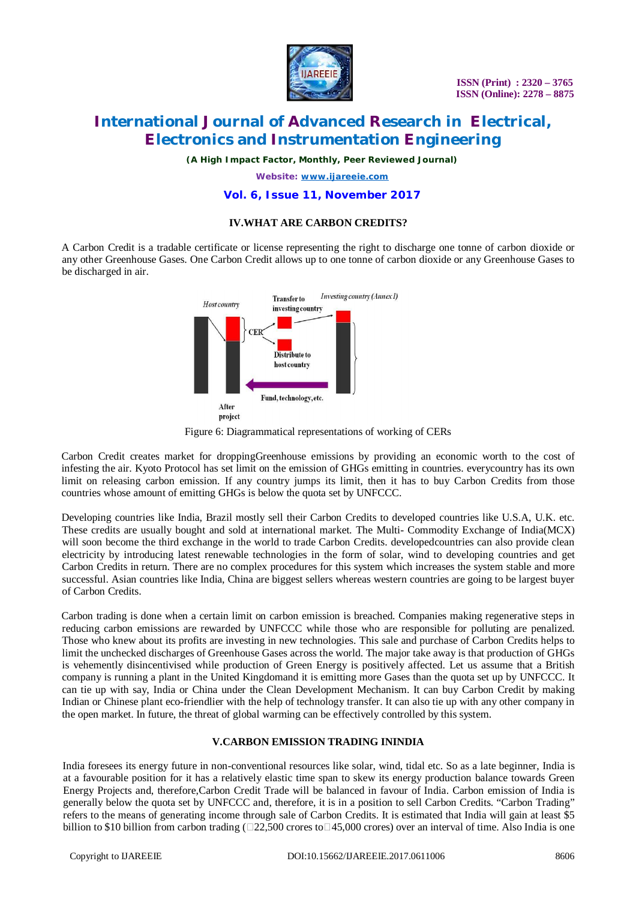

*(A High Impact Factor, Monthly, Peer Reviewed Journal)*

*Website: [www.ijareeie.com](http://www.ijareeie.com)*

#### **Vol. 6, Issue 11, November 2017**

### **IV.WHAT ARE CARBON CREDITS?**

A Carbon Credit is a tradable certificate or license representing the right to discharge one tonne of carbon dioxide or any other Greenhouse Gases. One Carbon Credit allows up to one tonne of carbon dioxide or any Greenhouse Gases to be discharged in air.



Figure 6: Diagrammatical representations of working of CERs

Carbon Credit creates market for droppingGreenhouse emissions by providing an economic worth to the cost of infesting the air. Kyoto Protocol has set limit on the emission of GHGs emitting in countries. everycountry has its own limit on releasing carbon emission. If any country jumps its limit, then it has to buy Carbon Credits from those countries whose amount of emitting GHGs is below the quota set by UNFCCC.

Developing countries like India, Brazil mostly sell their Carbon Credits to developed countries like U.S.A, U.K. etc. These credits are usually bought and sold at international market. The Multi- Commodity Exchange of India(MCX) will soon become the third exchange in the world to trade Carbon Credits. developedcountries can also provide clean electricity by introducing latest renewable technologies in the form of solar, wind to developing countries and get Carbon Credits in return. There are no complex procedures for this system which increases the system stable and more successful. Asian countries like India, China are biggest sellers whereas western countries are going to be largest buyer of Carbon Credits.

Carbon trading is done when a certain limit on carbon emission is breached. Companies making regenerative steps in reducing carbon emissions are rewarded by UNFCCC while those who are responsible for polluting are penalized. Those who knew about its profits are investing in new technologies. This sale and purchase of Carbon Credits helps to limit the unchecked discharges of Greenhouse Gases across the world. The major take away is that production of GHGs is vehemently disincentivised while production of Green Energy is positively affected. Let us assume that a British company is running a plant in the United Kingdomand it is emitting more Gases than the quota set up by UNFCCC. It can tie up with say, India or China under the Clean Development Mechanism. It can buy Carbon Credit by making Indian or Chinese plant eco-friendlier with the help of technology transfer. It can also tie up with any other company in the open market. In future, the threat of global warming can be effectively controlled by this system.

#### **V.CARBON EMISSION TRADING ININDIA**

India foresees its energy future in non-conventional resources like solar, wind, tidal etc. So as a late beginner, India is at a favourable position for it has a relatively elastic time span to skew its energy production balance towards Green Energy Projects and, therefore,Carbon Credit Trade will be balanced in favour of India. Carbon emission of India is generally below the quota set by UNFCCC and, therefore, it is in a position to sell Carbon Credits. "Carbon Trading" refers to the means of generating income through sale of Carbon Credits. It is estimated that India will gain at least \$5 billion to \$10 billion from carbon trading ( $\square$ 22,500 crores to $\square$ 45,000 crores) over an interval of time. Also India is one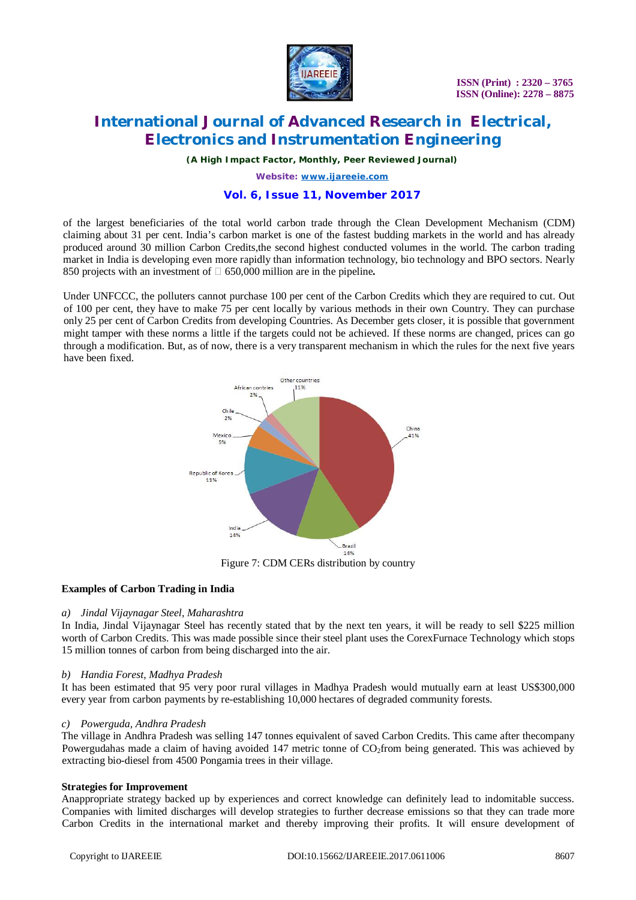

*(A High Impact Factor, Monthly, Peer Reviewed Journal)*

*Website: [www.ijareeie.com](http://www.ijareeie.com)*

### **Vol. 6, Issue 11, November 2017**

of the largest beneficiaries of the total world carbon trade through the Clean Development Mechanism (CDM) claiming about 31 per cent. India's carbon market is one of the fastest budding markets in the world and has already produced around 30 million Carbon Credits,the second highest conducted volumes in the world. The carbon trading market in India is developing even more rapidly than information technology, bio technology and BPO sectors. Nearly 850 projects with an investment of 650,000 million are in the pipeline**.**

Under UNFCCC, the polluters cannot purchase 100 per cent of the Carbon Credits which they are required to cut. Out of 100 per cent, they have to make 75 per cent locally by various methods in their own Country. They can purchase only 25 per cent of Carbon Credits from developing Countries. As December gets closer, it is possible that government might tamper with these norms a little if the targets could not be achieved. If these norms are changed, prices can go through a modification. But, as of now, there is a very transparent mechanism in which the rules for the next five years have been fixed.



#### **Examples of Carbon Trading in India**

#### *a) Jindal Vijaynagar Steel, Maharashtra*

In India, Jindal Vijaynagar Steel has recently stated that by the next ten years, it will be ready to sell \$225 million worth of Carbon Credits. This was made possible since their steel plant uses the CorexFurnace Technology which stops 15 million tonnes of carbon from being discharged into the air.

#### *b) Handia Forest, Madhya Pradesh*

It has been estimated that 95 very poor rural villages in Madhya Pradesh would mutually earn at least US\$300,000 every year from carbon payments by re-establishing 10,000 hectares of degraded community forests.

#### *c) Powerguda, Andhra Pradesh*

The village in Andhra Pradesh was selling 147 tonnes equivalent of saved Carbon Credits. This came after thecompany Powergudahas made a claim of having avoided 147 metric tonne of CO<sub>2</sub>from being generated. This was achieved by extracting bio-diesel from 4500 Pongamia trees in their village.

#### **Strategies for Improvement**

Anappropriate strategy backed up by experiences and correct knowledge can definitely lead to indomitable success. Companies with limited discharges will develop strategies to further decrease emissions so that they can trade more Carbon Credits in the international market and thereby improving their profits. It will ensure development of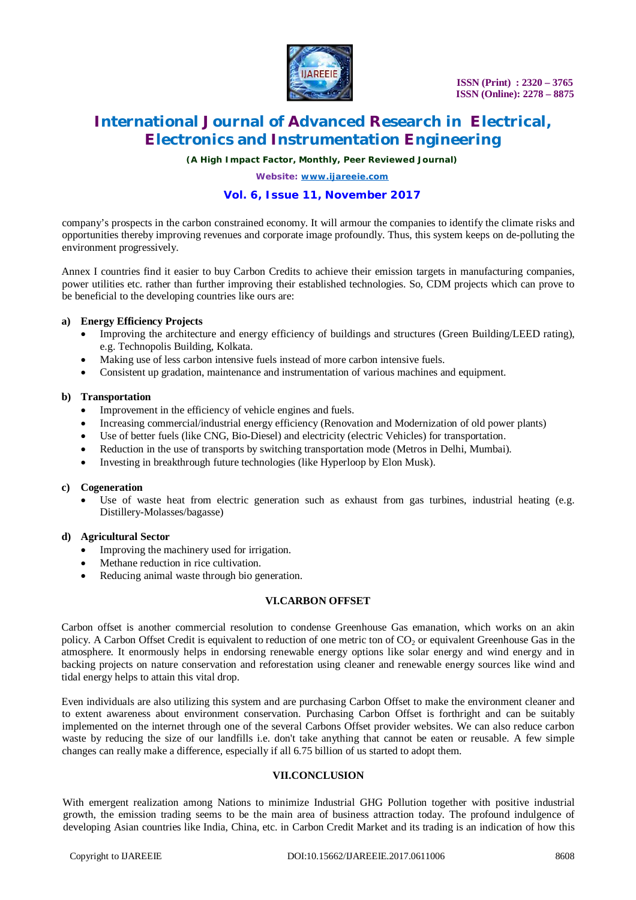

*(A High Impact Factor, Monthly, Peer Reviewed Journal)*

*Website: [www.ijareeie.com](http://www.ijareeie.com)*

# **Vol. 6, Issue 11, November 2017**

company's prospects in the carbon constrained economy. It will armour the companies to identify the climate risks and opportunities thereby improving revenues and corporate image profoundly. Thus, this system keeps on de-polluting the environment progressively.

Annex I countries find it easier to buy Carbon Credits to achieve their emission targets in manufacturing companies, power utilities etc. rather than further improving their established technologies. So, CDM projects which can prove to be beneficial to the developing countries like ours are:

#### **a) Energy Efficiency Projects**

- Improving the architecture and energy efficiency of buildings and structures (Green Building/LEED rating), e.g. Technopolis Building, Kolkata.
- Making use of less carbon intensive fuels instead of more carbon intensive fuels.
- Consistent up gradation, maintenance and instrumentation of various machines and equipment.

#### **b) Transportation**

- Improvement in the efficiency of vehicle engines and fuels.
- Increasing commercial/industrial energy efficiency (Renovation and Modernization of old power plants)
- Use of better fuels (like CNG, Bio-Diesel) and electricity (electric Vehicles) for transportation.
- Reduction in the use of transports by switching transportation mode (Metros in Delhi, Mumbai).
- Investing in breakthrough future technologies (like Hyperloop by Elon Musk).

#### **c) Cogeneration**

Use of waste heat from electric generation such as exhaust from gas turbines, industrial heating (e.g. Distillery-Molasses/bagasse)

#### **d) Agricultural Sector**

- Improving the machinery used for irrigation.
- Methane reduction in rice cultivation.
- Reducing animal waste through bio generation.

### **VI.CARBON OFFSET**

Carbon offset is another commercial resolution to condense Greenhouse Gas emanation, which works on an akin policy. A Carbon Offset Credit is equivalent to reduction of one metric ton of  $CO<sub>2</sub>$  or equivalent Greenhouse Gas in the atmosphere. It enormously helps in endorsing renewable energy options like solar energy and wind energy and in backing projects on nature conservation and reforestation using cleaner and renewable energy sources like wind and tidal energy helps to attain this vital drop.

Even individuals are also utilizing this system and are purchasing Carbon Offset to make the environment cleaner and to extent awareness about environment conservation. Purchasing Carbon Offset is forthright and can be suitably implemented on the internet through one of the several Carbons Offset provider websites. We can also reduce carbon waste by reducing the size of our landfills i.e. don't take anything that cannot be eaten or reusable. A few simple changes can really make a difference, especially if all 6.75 billion of us started to adopt them.

#### **VII.CONCLUSION**

With emergent realization among Nations to minimize Industrial GHG Pollution together with positive industrial growth, the emission trading seems to be the main area of business attraction today. The profound indulgence of developing Asian countries like India, China, etc. in Carbon Credit Market and its trading is an indication of how this